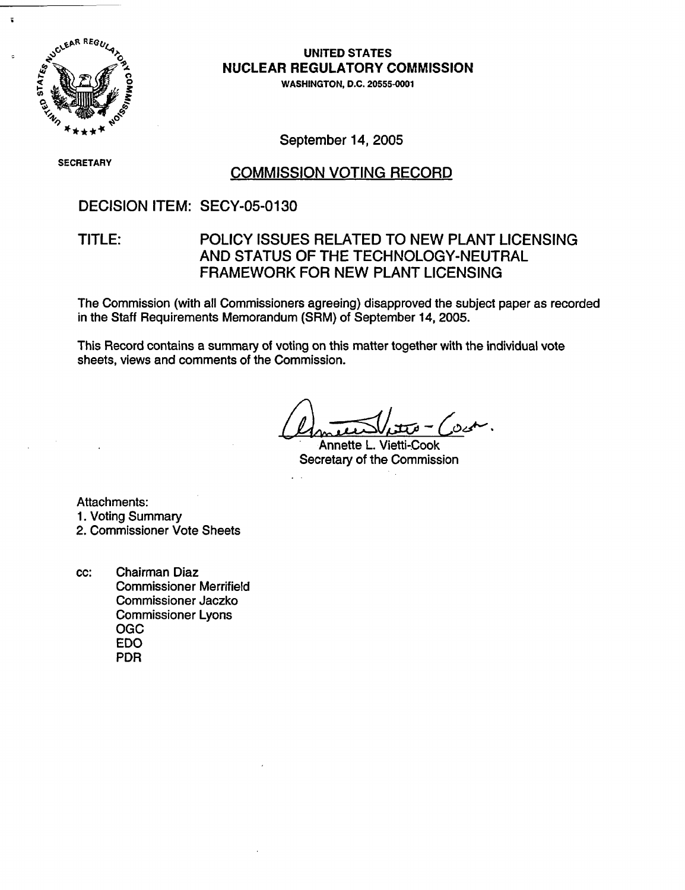

 $\mathbf{r}$ 

UNITED STATES NUCLEAR REGULATORY COMMISSION

WASHINGTON, D.C. 20555-0001

September 14, 2005

**SECRETARY**

#### COMMISSION VOTING RECORD

#### DECISION ITEM: SECY-05-0130

#### TITLE: POLICY ISSUES RELATED TO NEW PLANT LICENSING AND STATUS OF THE TECHNOLOGY-NEUTRAL FRAMEWORK FOR NEW PLANT LICENSING

The Commission (with all Commissioners agreeing) disapproved the subject paper as recorded in the Staff Requirements Memorandum (SRM) of September 14, 2005.

This Record contains a summary of voting on this matter together with the individual vote sheets, views and comments of the Commission.

. سعى ق

Annette L. Vietti-Cook Secretary of the Commission

Attachments: 1. Voting Summary

2. Commissioner Vote Sheets

cc: Chairman Diaz Commissioner Merrifield Commissioner Jaczko Commissioner Lyons OGC EDO PDR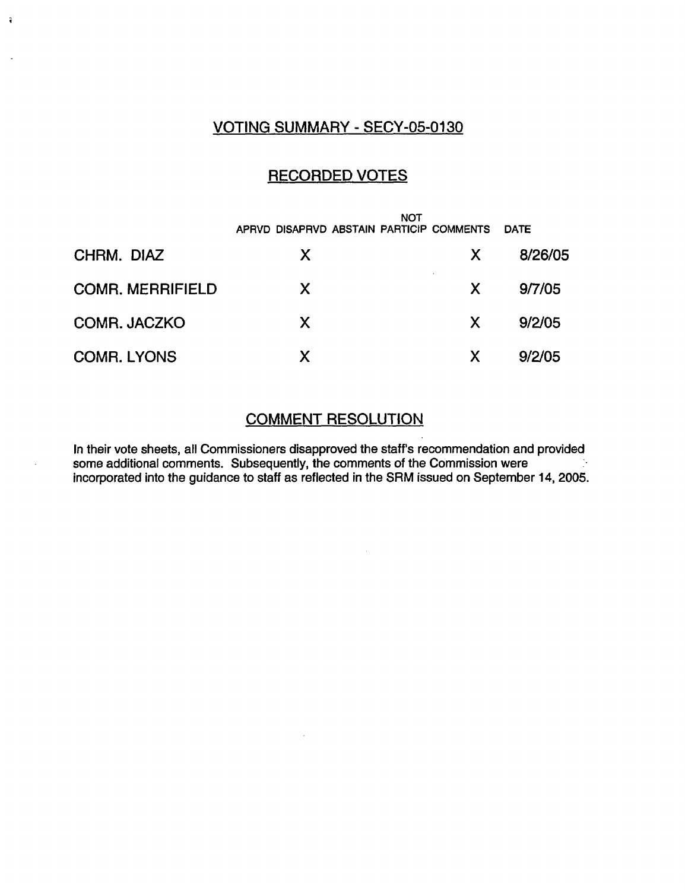## VOTING SUMMARY - SECY-05-0130

 $\hat{\mathbf{t}}$ 

## RECORDED VOTES

|                         | <b>NOT</b><br>APRVD DISAPRVD ABSTAIN PARTICIP COMMENTS |    | <b>DATE</b> |
|-------------------------|--------------------------------------------------------|----|-------------|
| CHRM. DIAZ              | X                                                      | X. | 8/26/05     |
| <b>COMR. MERRIFIELD</b> | X                                                      | X. | 9/7/05      |
| COMR. JACZKO            | X                                                      | X. | 9/2/05      |
| <b>COMR. LYONS</b>      |                                                        | X  | 9/2/05      |

#### COMMENT RESOLUTION

In their vote sheets, all Commissioners disapproved the staff's recommendation and provided some additional comments. Subsequently, the comments of the Commission were incorporated into the guidance to staff as reflected in the SRM issued on September 14, 2005.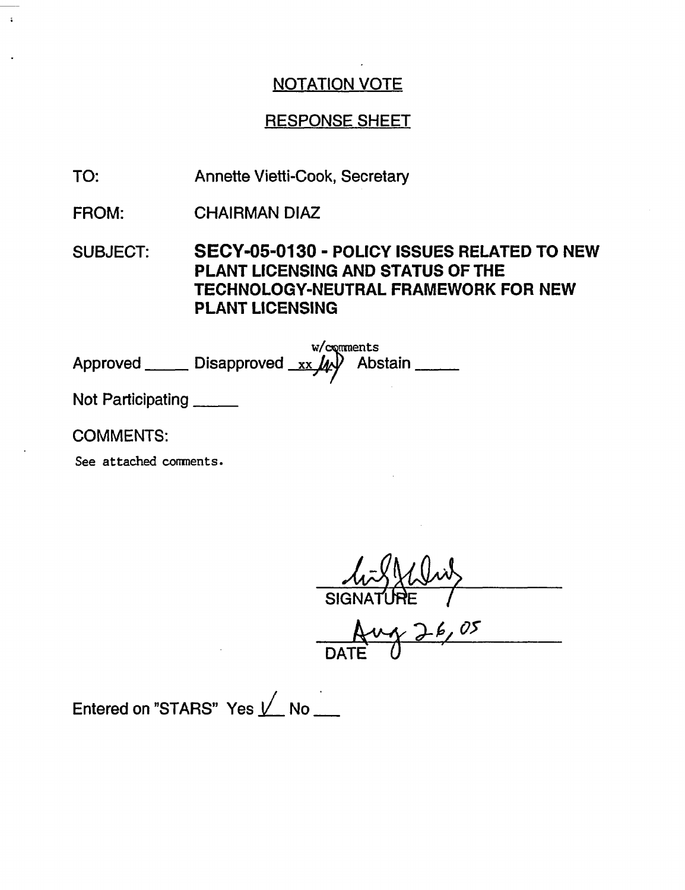# RESPONSE SHEET

Annette Vietti-Cook, Secretary TO:

CHAIRMAN DIAZ FROM:

SUBJECT: SECY-05-0130 - POLICY ISSUES RELATED TO NEW PLANT LICENSING AND STATUS OF THE TECHNOLOGY-NEUTRAL FRAMEWORK FOR NEW PLANT LICENSING

Approved \_\_\_\_\_\_ Disapproved \_xx \_\_\_\_\_\_ Abstain w/comments<br>  $\downarrow \downarrow \downarrow \downarrow \downarrow \downarrow$  Abstain

Not Participating

COMMENTS:

See attached comments.

SIGNATURE /

<u>Aug 26,05</u><br>DATE 0

Entered on "STARS" Yes  $\sqrt{\phantom{a}}$  No $\phantom{a}\phantom{a}\phantom{a}$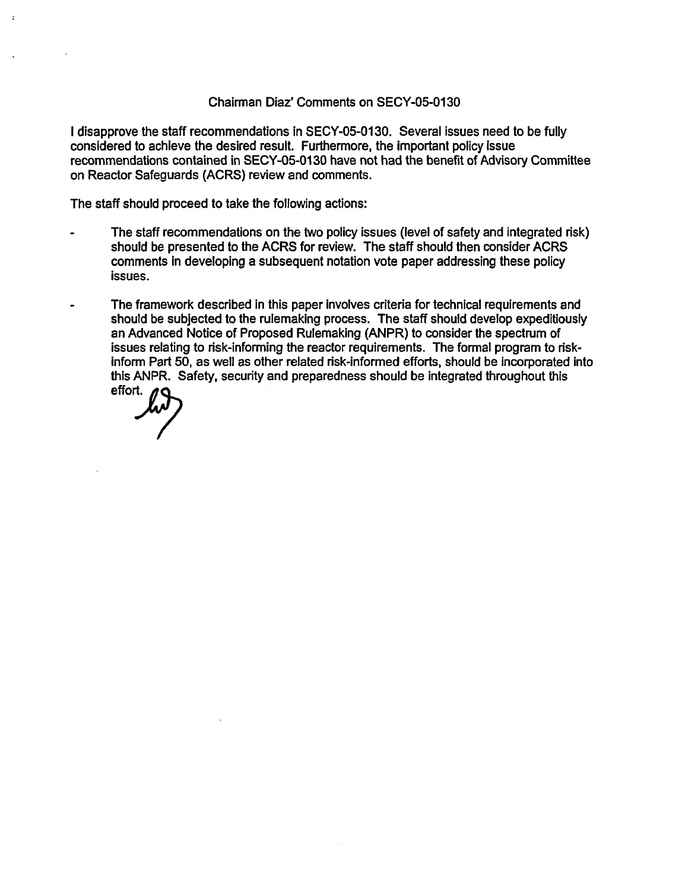#### Chairman Diaz' Comments on SECY-05-0130

I disapprove the staff recommendations in SECY-05-0130. Several issues need to be fully considered to achieve the desired result. Furthermore, the important policy issue recommendations contained in SECY-05-0130 have not had the benefit of Advisory Committee on Reactor Safeguards (ACRS) review and comments.

The staff should proceed to take the following actions:

- The staff recommendations on the two policy issues (level of safety and integrated risk) should be presented to the ACRS for review. The staff should then consider ACRS comments in developing a subsequent notation vote paper addressing these policy issues.
- The framework described in this paper involves criteria for technical requirements and should be subjected to the rulemaking process. The staff should develop expeditiously an Advanced Notice of Proposed Rulemaking (ANPR) to consider the spectrum of issues relating to risk-informing the reactor requirements. The formal program to riskinform Part 50, as well as other related risk-informed efforts, should be incorporated into this ANPR. Safety, security and preparedness should be integrated throughout this effort.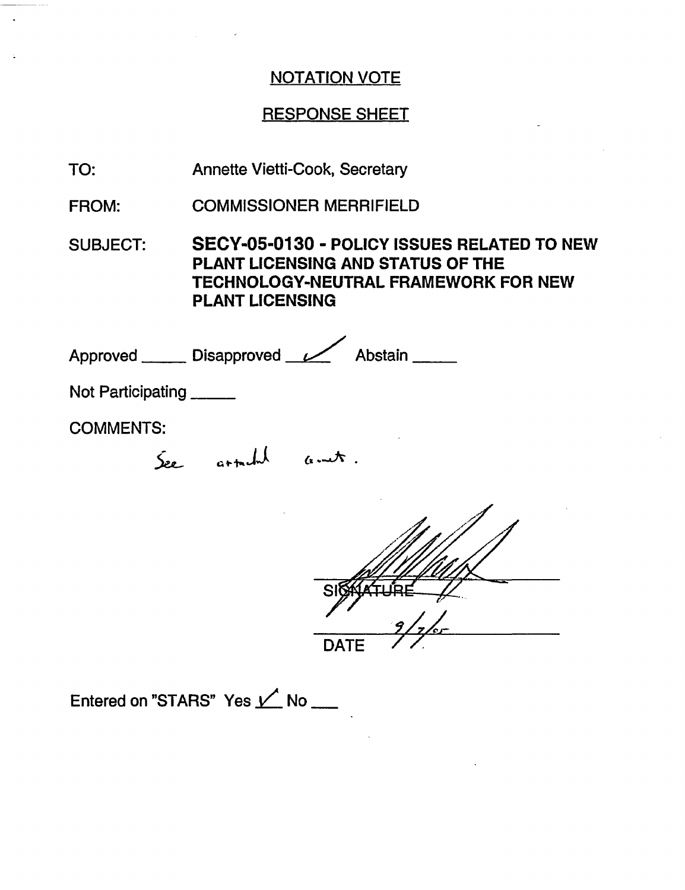## RESPONSE SHEET

Annette Vietti-Cook, Secretary TO:

COMMISSIONER MERRIFIELD FROM:

SUBJECT: **SECY-05-0130** - **POLICY** ISSUES RELATED TO NEW PLANT LICENSING AND STATUS OF THE TECHNOLOGY-NEUTRAL FRAMEWORK FOR NEW PLANT LICENSING

Approved Disapproved Vabstain Not Participating \_\_\_\_\_

COMMENTS:

See articled anet.

*.,ql, /.,,* **DATE** 

Entered on "STARS" Yes  $\angle'$  No \_\_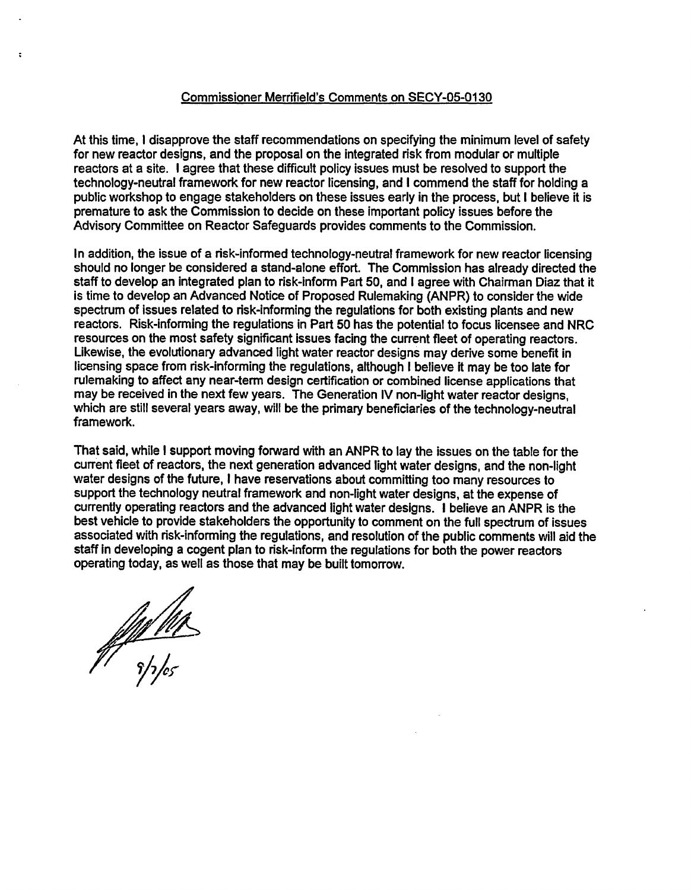#### Commissioner Merrifield's Comments on SECY-05-0130

At this time, I disapprove the staff recommendations on specifying the minimum level of safety for new reactor designs, and the proposal on the integrated risk from modular or multiple reactors at a site. I agree that these difficult policy issues must be resolved to support the technology-neutral framework for new reactor licensing, and I commend the staff for holding a public workshop to engage stakeholders on these issues early in the process, but I believe it is premature to ask the Commission to decide on these important policy issues before the Advisory Committee on Reactor Safeguards provides comments to the Commission.

In addition, the issue of a risk-informed technology-neutral framework for new reactor licensing should no longer be considered a stand-alone effort. The Commission has already directed the staff to develop an integrated plan to risk-inform Part 50, and I agree with Chairman Diaz that it is time to develop an Advanced Notice of Proposed Rulemaking (ANPR) to consider the wide spectrum of issues related to risk-informing the regulations for both existing plants and new reactors. Risk-informing the regulations in Part **50** has the potential to focus licensee and NRC resources on the most safety significant issues facing the current fleet of operating reactors. Likewise, the evolutionary advanced light water reactor designs may derive some benefit in licensing space from risk-informing the regulations, although I believe it may be too late for rulemaking to affect any near-term design certification or combined license applications that may be received in the next few years. The Generation IV non-light water reactor designs, which are still several years away, will be the primary beneficiaries of the technology-neutral framework.

That said, while I support moving forward with an ANPR to lay the issues on the table for the current fleet of reactors, the next generation advanced light water designs, and the non-light water designs of the future, I have reservations about committing too many resources to support the technology neutral framework and non-light water designs, at the expense of currently operating reactors and the advanced light water designs. I believe an ANPR is the best vehicle to provide stakeholders the opportunity to comment on the full spectrum of issues associated with risk-informing the regulations, and resolution of the public comments will aid the staff in developing a cogent plan to risk-inform the regulations for both the power reactors operating today, as well as those that may be built tomorrow.

*Y17,05-*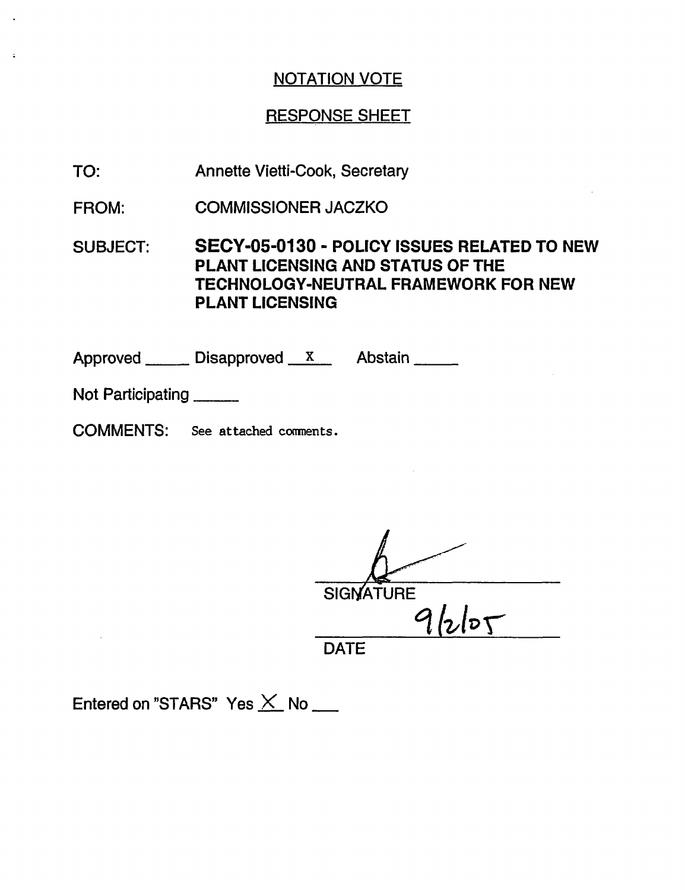## RESPONSE SHEET

- TO: Annette Vietti-Cook, Secretary
- FROM: COMMISSIONER JACZKO

SUBJECT: **SECY-05-0130** - **POLICY ISSUES RELATED TO** NEW **PLANT LICENSING AND STATUS OF THE** TECHNOLOGY-NEUTRAL FRAMEWORK FOR NEW PLANT LICENSING

Approved \_\_\_\_\_\_\_ Disapproved \_\_\_ x\_\_\_\_ Abstain

Not Participating \_\_\_\_\_\_\_

 $\overline{z}$ 

COMMENTS: See attached comnents.

**SIGNATURE** °l *t1,aI D*

DATE

Entered on "STARS" Yes  $\times$  No \_\_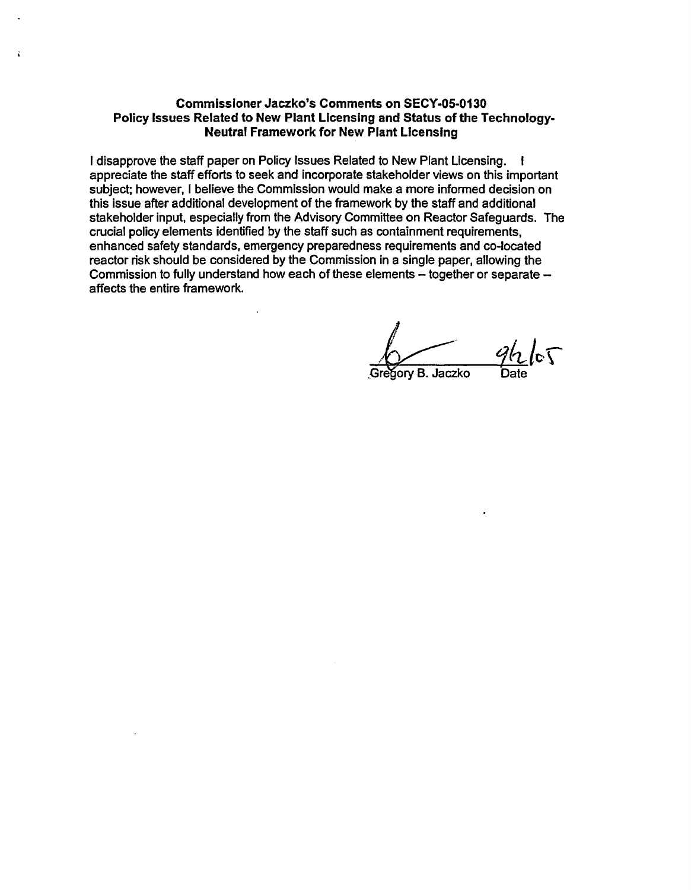#### Commissioner Jaczko's Comments **on SECY-05-0130** Policy Issues Related to New Plant Licensing and Status of the Technology-Neutral Framework for New Plant Licensing

I disapprove the staff paper on Policy Issues Related to New Plant Licensing. I appreciate the staff efforts to seek and incorporate stakeholder views on this important subject; however, I believe the Commission would make a more informed decision on this issue after additional development of the framework by the staff and additional stakeholder input, especially from the Advisory Committee on Reactor Safeguards. The crucial policy elements identified by the staff such as containment requirements, enhanced safety standards, emergency preparedness requirements and co-located reactor risk should be considered by the Commission in a single paper, allowing the Commission to fully understand how each of these elements - together or separate affects the entire framework.

 $5$ ory B. Jaczko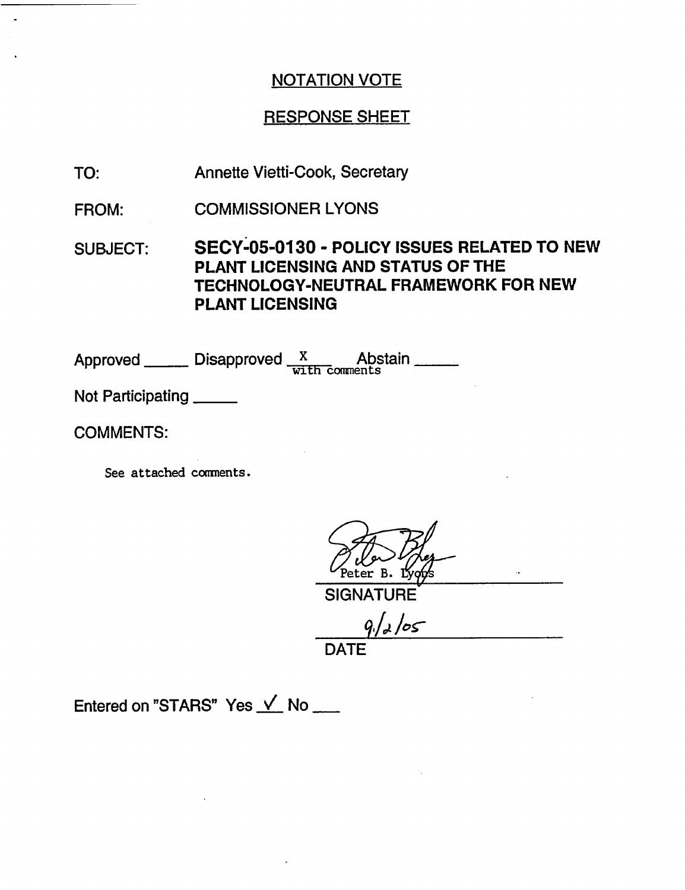### RESPONSE SHEET

TO: Annette Vietti-Cook, Secretary

FROM: COMMISSIONER LYONS

SUBJECT: SECY-05-0130 - POLICY **ISSUES** RELATED **TO** NEW PLANT **LICENSING AND STATUS OF THE** TECHNOLOGY-NEUTRAL FRAMEWORK FOR NEW PLANT LICENSING

Approved **Disapproved** X Abstain **ADSTA** 

Not Participating

COMMENTS:

See attached comments.

SIGNATURE

*9i/,,* /0-

DATE

Entered on "STARS" Yes  $\sqrt{N}$  No  $\sqrt{N}$